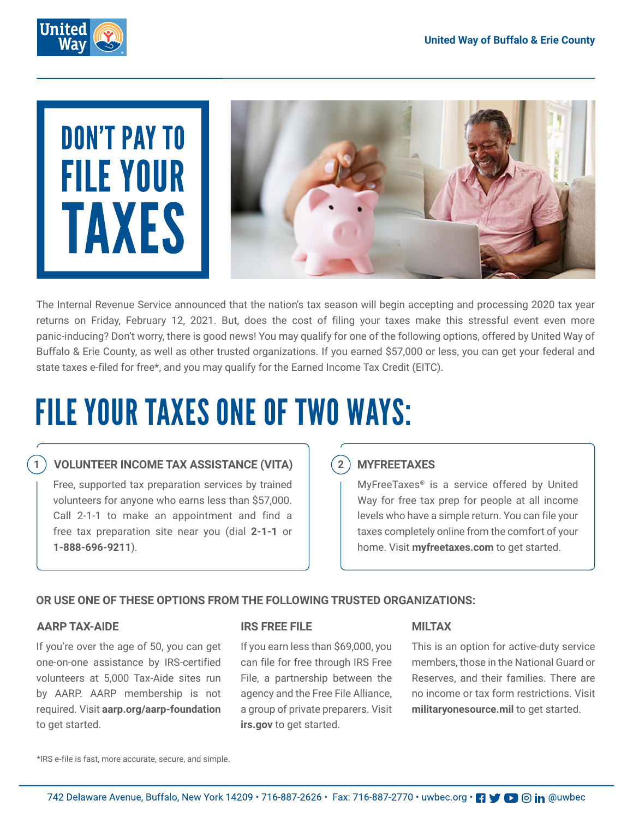



The Internal Revenue Service announced that the nation's tax season will begin accepting and processing 2020 tax year returns on Friday, February 12, 2021. But, does the cost of filing your taxes make this stressful event even more panic-inducing? Don't worry, there is good news! You may qualify for one of the following options, offered by United Way of Buffalo & Erie County, as well as other trusted organizations. If you earned \$57,000 or less, you can get your federal and state taxes e-filed for free\*, and you may qualify for the Earned Income Tax Credit (EITC).

## FILE YOUR TAXES ONE OF TWO WAYS:

### **1 VOLUNTEER INCOME TAX ASSISTANCE (VITA)**

Free, supported tax preparation services by trained volunteers for anyone who earns less than \$57,000. Call 2-1-1 to make an appointment and find a free tax preparation site near you (dial **2-1-1** or **1-888-696-9211**).

### **2 MYFREETAXES**

MyFreeTaxes® is a service offered by United Way for free tax prep for people at all income levels who have a simple return. You can file your taxes completely online from the comfort of your home. Visit **myfreetaxes.com** to get started.

#### **OR USE ONE OF THESE OPTIONS FROM THE FOLLOWING TRUSTED ORGANIZATIONS:**

#### **AARP TAX-AIDE**

If you're over the age of 50, you can get one-on-one assistance by IRS-certified volunteers at 5,000 Tax-Aide sites run by AARP. AARP membership is not required. Visit **aarp.org/aarp-foundation**  to get started.

#### **IRS FREE FILE**

If you earn less than \$69,000, you can file for free through IRS Free File, a partnership between the agency and the Free File Alliance, a group of private preparers. Visit **irs.gov** to get started.

#### **MILTAX**

This is an option for active-duty service members, those in the National Guard or Reserves, and their families. There are no income or tax form restrictions. Visit **militaryonesource.mil** to get started.

\*IRS e-file is fast, more accurate, secure, and simple.